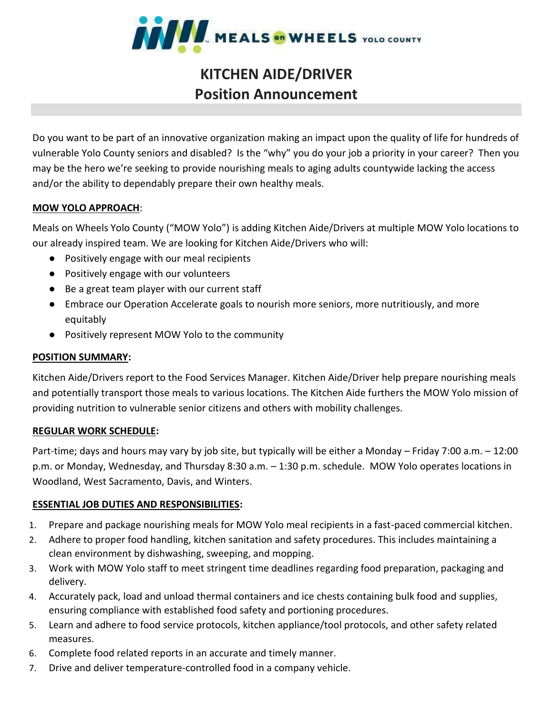

# **KITCHEN AIDE/DRIVER Position Announcement**

Do you want to be part of an innovative organization making an impact upon the quality of life for hundreds of vulnerable Yolo County seniors and disabled? Is the "why" you do your job a priority in your career? Then you may be the hero we're seeking to provide nourishing meals to aging adults countywide lacking the access and/or the ability to dependably prepare their own healthy meals.

### **MOW YOLO APPROACH**:

Meals on Wheels Yolo County ("MOW Yolo") is adding Kitchen Aide/Drivers at multiple MOW Yolo locations to our already inspired team. We are looking for Kitchen Aide/Drivers who will:

- Positively engage with our meal recipients
- Positively engage with our volunteers
- Be a great team player with our current staff
- Embrace our Operation Accelerate goals to nourish more seniors, more nutritiously, and more equitably
- Positively represent MOW Yolo to the community

#### **POSITION SUMMARY:**

Kitchen Aide/Drivers report to the Food Services Manager. Kitchen Aide/Driver help prepare nourishing meals and potentially transport those meals to various locations. The Kitchen Aide furthers the MOW Yolo mission of providing nutrition to vulnerable senior citizens and others with mobility challenges.

#### **REGULAR WORK SCHEDULE:**

Part-time; days and hours may vary by job site, but typically will be either a Monday – Friday 7:00 a.m. – 12:00 p.m. or Monday, Wednesday, and Thursday 8:30 a.m. – 1:30 p.m. schedule. MOW Yolo operates locations in Woodland, West Sacramento, Davis, and Winters.

#### **ESSENTIAL JOB DUTIES AND RESPONSIBILITIES:**

- 1. Prepare and package nourishing meals for MOW Yolo meal recipients in a fast-paced commercial kitchen.
- 2. Adhere to proper food handling, kitchen sanitation and safety procedures. This includes maintaining a clean environment by dishwashing, sweeping, and mopping.
- 3. Work with MOW Yolo staff to meet stringent time deadlines regarding food preparation, packaging and delivery.
- 4. Accurately pack, load and unload thermal containers and ice chests containing bulk food and supplies, ensuring compliance with established food safety and portioning procedures.
- 5. Learn and adhere to food service protocols, kitchen appliance/tool protocols, and other safety related measures.
- 6. Complete food related reports in an accurate and timely manner.
- 7. Drive and deliver temperature-controlled food in a company vehicle.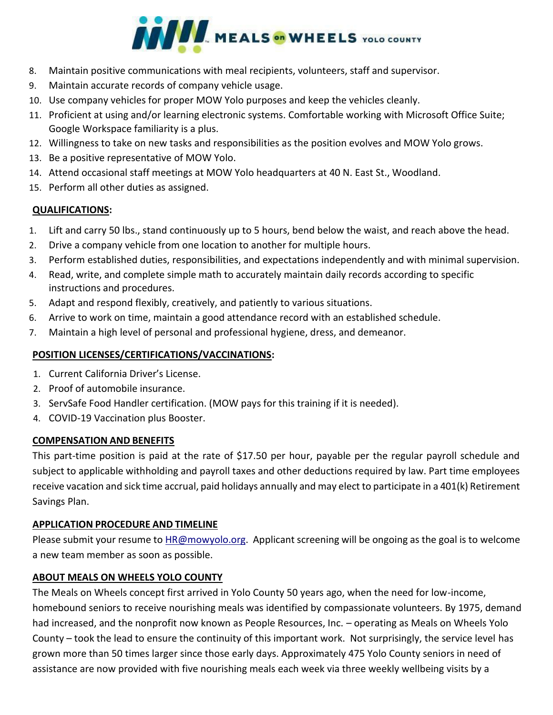

- 8. Maintain positive communications with meal recipients, volunteers, staff and supervisor.
- 9. Maintain accurate records of company vehicle usage.
- 10. Use company vehicles for proper MOW Yolo purposes and keep the vehicles cleanly.
- 11. Proficient at using and/or learning electronic systems. Comfortable working with Microsoft Office Suite; Google Workspace familiarity is a plus.
- 12. Willingness to take on new tasks and responsibilities as the position evolves and MOW Yolo grows.
- 13. Be a positive representative of MOW Yolo.
- 14. Attend occasional staff meetings at MOW Yolo headquarters at 40 N. East St., Woodland.
- 15. Perform all other duties as assigned.

#### **QUALIFICATIONS:**

- 1. Lift and carry 50 lbs., stand continuously up to 5 hours, bend below the waist, and reach above the head.
- 2. Drive a company vehicle from one location to another for multiple hours.
- 3. Perform established duties, responsibilities, and expectations independently and with minimal supervision.
- 4. Read, write, and complete simple math to accurately maintain daily records according to specific instructions and procedures.
- 5. Adapt and respond flexibly, creatively, and patiently to various situations.
- 6. Arrive to work on time, maintain a good attendance record with an established schedule.
- 7. Maintain a high level of personal and professional hygiene, dress, and demeanor.

## **POSITION LICENSES/CERTIFICATIONS/VACCINATIONS:**

- 1. Current California Driver's License.
- 2. Proof of automobile insurance.
- 3. ServSafe Food Handler certification. (MOW pays for this training if it is needed).
- 4. COVID-19 Vaccination plus Booster.

#### **COMPENSATION AND BENEFITS**

This part-time position is paid at the rate of \$17.50 per hour, payable per the regular payroll schedule and subject to applicable withholding and payroll taxes and other deductions required by law. Part time employees receive vacation and sick time accrual, paid holidays annually and may elect to participate in a 401(k) Retirement Savings Plan.

#### **APPLICATION PROCEDURE AND TIMELINE**

Please submit your resume to **HR@mowyolo.org**. Applicant screening will be ongoing as the goal is to welcome a new team member as soon as possible.

#### **ABOUT MEALS ON WHEELS YOLO COUNTY**

The Meals on Wheels concept first arrived in Yolo County 50 years ago, when the need for low-income, homebound seniors to receive nourishing meals was identified by compassionate volunteers. By 1975, demand had increased, and the nonprofit now known as People Resources, Inc. – operating as Meals on Wheels Yolo County – took the lead to ensure the continuity of this important work. Not surprisingly, the service level has grown more than 50 times larger since those early days. Approximately 475 Yolo County seniors in need of assistance are now provided with five nourishing meals each week via three weekly wellbeing visits by a